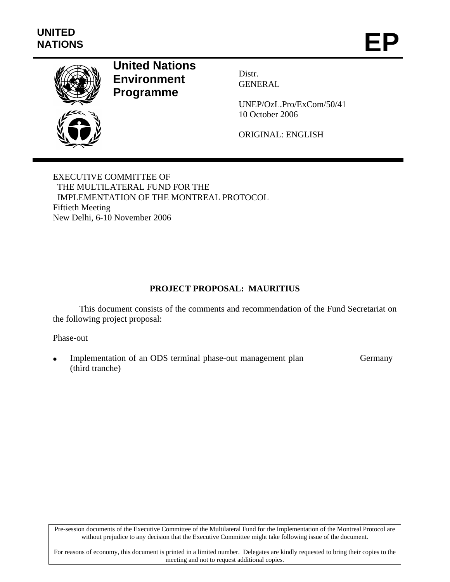

# **United Nations Environment Programme**

Distr. GENERAL

UNEP/OzL.Pro/ExCom/50/41 10 October 2006

ORIGINAL: ENGLISH

EXECUTIVE COMMITTEE OF THE MULTILATERAL FUND FOR THE IMPLEMENTATION OF THE MONTREAL PROTOCOL Fiftieth Meeting New Delhi, 6-10 November 2006

# **PROJECT PROPOSAL: MAURITIUS**

This document consists of the comments and recommendation of the Fund Secretariat on the following project proposal:

# Phase-out

Implementation of an ODS terminal phase-out management plan (third tranche) Germany

Pre-session documents of the Executive Committee of the Multilateral Fund for the Implementation of the Montreal Protocol are without prejudice to any decision that the Executive Committee might take following issue of the document.

For reasons of economy, this document is printed in a limited number. Delegates are kindly requested to bring their copies to the meeting and not to request additional copies.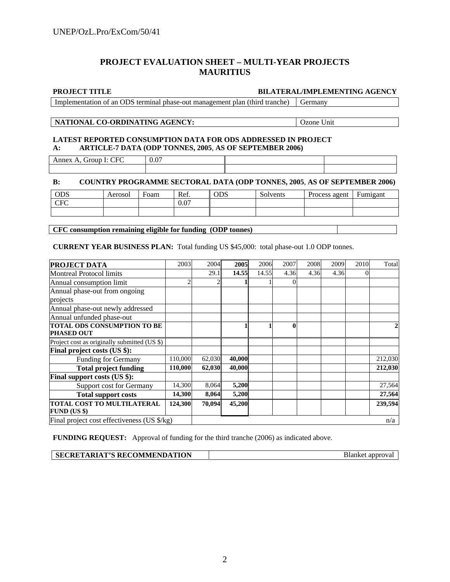# **PROJECT EVALUATION SHEET – MULTI-YEAR PROJECTS MAURITIUS**

#### **PROJECT TITLE BILATERAL/IMPLEMENTING AGENCY**

Implementation of an ODS terminal phase-out management plan (third tranche) Germany

#### **NATIONAL CO-ORDINATING AGENCY:** Ozone Unit

#### **LATEST REPORTED CONSUMPTION DATA FOR ODS ADDRESSED IN PROJECT A: ARTICLE-7 DATA (ODP TONNES, 2005**, **AS OF SEPTEMBER 2006)**

| $\sim$ $\sim$<br>7F 1<br>Annex<br>$'$ as $\sim$ $\sim$ $\sim$ $\sim$<br>oud<br>$\Delta$<br>╰<br>-- -<br>___ | 0.07 |  |
|-------------------------------------------------------------------------------------------------------------|------|--|
|                                                                                                             |      |  |

### **B: COUNTRY PROGRAMME SECTORAL DATA (ODP TONNES, 2005**, **AS OF SEPTEMBER 2006)**

| <b>ODS</b>                   | Aerosol | Foam | Ref. | <b>ODS</b> | Solvents | Process agent | Fumigant |
|------------------------------|---------|------|------|------------|----------|---------------|----------|
| $C_{\rm EC}$<br>$\mathbf{u}$ |         |      | 0.07 |            |          |               |          |
|                              |         |      |      |            |          |               |          |

**CFC consumption remaining eligible for funding (ODP tonnes)** 

#### **CURRENT YEAR BUSINESS PLAN:** Total funding US \$45,000: total phase-out 1.0 ODP tonnes.

| <b>PROJECT DATA</b>                               | 2003         | 2004   | 2005   | 2006  | 2007     | 2008 | 2009 | 2010 | Total   |
|---------------------------------------------------|--------------|--------|--------|-------|----------|------|------|------|---------|
| <b>Montreal Protocol limits</b>                   |              | 29.1   | 14.55  | 14.55 | 4.36     | 4.36 | 4.36 |      |         |
| Annual consumption limit                          | $\mathbf{2}$ |        |        |       |          |      |      |      |         |
| Annual phase-out from ongoing                     |              |        |        |       |          |      |      |      |         |
| projects                                          |              |        |        |       |          |      |      |      |         |
| Annual phase-out newly addressed                  |              |        |        |       |          |      |      |      |         |
| Annual unfunded phase-out                         |              |        |        |       |          |      |      |      |         |
| <b>TOTAL ODS CONSUMPTION TO BE</b>                |              |        |        |       | $\bf{0}$ |      |      |      |         |
| <b>PHASED OUT</b>                                 |              |        |        |       |          |      |      |      |         |
| Project cost as originally submitted (US \$)      |              |        |        |       |          |      |      |      |         |
| Final project costs (US \$):                      |              |        |        |       |          |      |      |      |         |
| <b>Funding for Germany</b>                        | 110,000      | 62,030 | 40,000 |       |          |      |      |      | 212,030 |
| <b>Total project funding</b>                      | 110,000      | 62,030 | 40,000 |       |          |      |      |      | 212,030 |
| Final support costs (US \$):                      |              |        |        |       |          |      |      |      |         |
| Support cost for Germany                          | 14,300       | 8,064  | 5,200  |       |          |      |      |      | 27,564  |
| <b>Total support costs</b>                        | 14,300       | 8,064  | 5,200  |       |          |      |      |      | 27,564  |
| TOTAL COST TO MULTILATERAL<br><b>FUND (US \$)</b> | 124,300      | 70.094 | 45,200 |       |          |      |      |      | 239,594 |
| Final project cost effectiveness (US \$/kg)       |              |        |        |       |          |      |      |      | n/a     |

**FUNDING REQUEST:** Approval of funding for the third tranche (2006) as indicated above.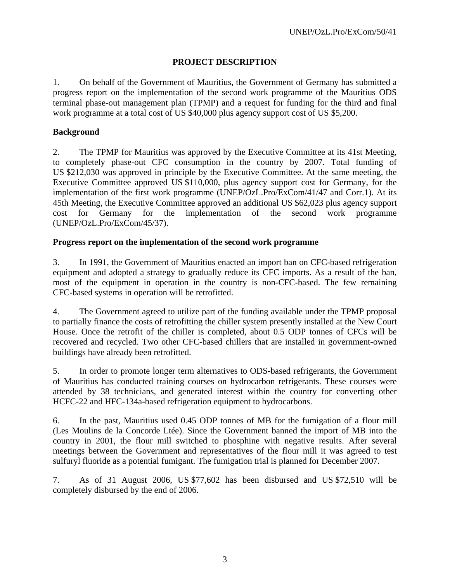# **PROJECT DESCRIPTION**

1. On behalf of the Government of Mauritius, the Government of Germany has submitted a progress report on the implementation of the second work programme of the Mauritius ODS terminal phase-out management plan (TPMP) and a request for funding for the third and final work programme at a total cost of US \$40,000 plus agency support cost of US \$5,200.

# **Background**

2. The TPMP for Mauritius was approved by the Executive Committee at its 41st Meeting, to completely phase-out CFC consumption in the country by 2007. Total funding of US \$212,030 was approved in principle by the Executive Committee. At the same meeting, the Executive Committee approved US \$110,000, plus agency support cost for Germany, for the implementation of the first work programme (UNEP/OzL.Pro/ExCom/41/47 and Corr.1). At its 45th Meeting, the Executive Committee approved an additional US \$62,023 plus agency support cost for Germany for the implementation of the second work programme (UNEP/OzL.Pro/ExCom/45/37).

# **Progress report on the implementation of the second work programme**

3. In 1991, the Government of Mauritius enacted an import ban on CFC-based refrigeration equipment and adopted a strategy to gradually reduce its CFC imports. As a result of the ban, most of the equipment in operation in the country is non-CFC-based. The few remaining CFC-based systems in operation will be retrofitted.

4. The Government agreed to utilize part of the funding available under the TPMP proposal to partially finance the costs of retrofitting the chiller system presently installed at the New Court House. Once the retrofit of the chiller is completed, about 0.5 ODP tonnes of CFCs will be recovered and recycled. Two other CFC-based chillers that are installed in government-owned buildings have already been retrofitted.

5. In order to promote longer term alternatives to ODS-based refrigerants, the Government of Mauritius has conducted training courses on hydrocarbon refrigerants. These courses were attended by 38 technicians, and generated interest within the country for converting other HCFC-22 and HFC-134a-based refrigeration equipment to hydrocarbons.

6. In the past, Mauritius used 0.45 ODP tonnes of MB for the fumigation of a flour mill (Les Moulins de la Concorde Ltée). Since the Government banned the import of MB into the country in 2001, the flour mill switched to phosphine with negative results. After several meetings between the Government and representatives of the flour mill it was agreed to test sulfuryl fluoride as a potential fumigant. The fumigation trial is planned for December 2007.

7. As of 31 August 2006, US \$77,602 has been disbursed and US \$72,510 will be completely disbursed by the end of 2006.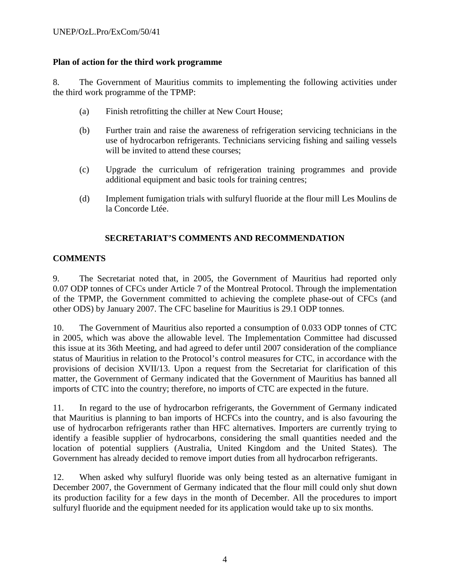# **Plan of action for the third work programme**

8. The Government of Mauritius commits to implementing the following activities under the third work programme of the TPMP:

- (a) Finish retrofitting the chiller at New Court House;
- (b) Further train and raise the awareness of refrigeration servicing technicians in the use of hydrocarbon refrigerants. Technicians servicing fishing and sailing vessels will be invited to attend these courses;
- (c) Upgrade the curriculum of refrigeration training programmes and provide additional equipment and basic tools for training centres;
- (d) Implement fumigation trials with sulfuryl fluoride at the flour mill Les Moulins de la Concorde Ltée.

# **SECRETARIAT'S COMMENTS AND RECOMMENDATION**

# **COMMENTS**

9. The Secretariat noted that, in 2005, the Government of Mauritius had reported only 0.07 ODP tonnes of CFCs under Article 7 of the Montreal Protocol. Through the implementation of the TPMP, the Government committed to achieving the complete phase-out of CFCs (and other ODS) by January 2007. The CFC baseline for Mauritius is 29.1 ODP tonnes.

10. The Government of Mauritius also reported a consumption of 0.033 ODP tonnes of CTC in 2005, which was above the allowable level. The Implementation Committee had discussed this issue at its 36th Meeting, and had agreed to defer until 2007 consideration of the compliance status of Mauritius in relation to the Protocol's control measures for CTC, in accordance with the provisions of decision XVII/13. Upon a request from the Secretariat for clarification of this matter, the Government of Germany indicated that the Government of Mauritius has banned all imports of CTC into the country; therefore, no imports of CTC are expected in the future.

11. In regard to the use of hydrocarbon refrigerants, the Government of Germany indicated that Mauritius is planning to ban imports of HCFCs into the country, and is also favouring the use of hydrocarbon refrigerants rather than HFC alternatives. Importers are currently trying to identify a feasible supplier of hydrocarbons, considering the small quantities needed and the location of potential suppliers (Australia, United Kingdom and the United States). The Government has already decided to remove import duties from all hydrocarbon refrigerants.

12. When asked why sulfuryl fluoride was only being tested as an alternative fumigant in December 2007, the Government of Germany indicated that the flour mill could only shut down its production facility for a few days in the month of December. All the procedures to import sulfuryl fluoride and the equipment needed for its application would take up to six months.